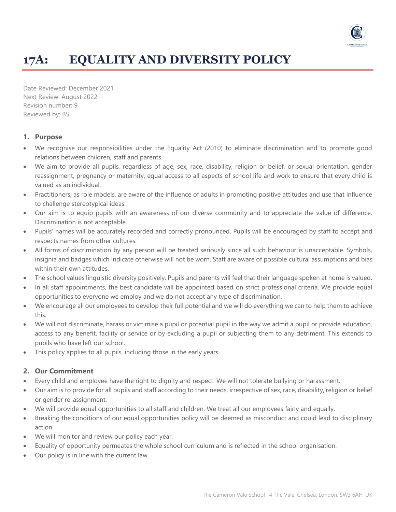

# **17A: EQUALITY AND DIVERSITY POLICY**

Date Reviewed: December 2021 Next Review: August 2022 Revision number: 9 Reviewed by: BS

### **1. Purpose**

- We recognise our responsibilities under the Equality Act (2010) to eliminate discrimination and to promote good relations between children, staff and parents.
- We aim to provide all pupils, regardless of age, sex, race, disability, religion or belief, or sexual orientation, gender reassignment, pregnancy or maternity, equal access to all aspects of school life and work to ensure that every child is valued as an individual.
- Practitioners, as role models, are aware of the influence of adults in promoting positive attitudes and use that influence to challenge stereotypical ideas.
- Our aim is to equip pupils with an awareness of our diverse community and to appreciate the value of difference. Discrimination is not acceptable.
- Pupils' names will be accurately recorded and correctly pronounced. Pupils will be encouraged by staff to accept and respects names from other cultures.
- All forms of discrimination by any person will be treated seriously since all such behaviour is unacceptable. Symbols, insignia and badges which indicate otherwise will not be worn. Staff are aware of possible cultural assumptions and bias within their own attitudes.
- The school values linguistic diversity positively. Pupils and parents will feel that their language spoken at home is valued.
- In all staff appointments, the best candidate will be appointed based on strict professional criteria. We provide equal opportunities to everyone we employ and we do not accept any type of discrimination.
- We encourage all our employees to develop their full potential and we will do everything we can to help them to achieve this.
- We will not discriminate, harass or victimise a pupil or potential pupil in the way we admit a pupil or provide education, access to any benefit, facility or service or by excluding a pupil or subjecting them to any detriment. This extends to pupils who have left our school.
- This policy applies to all pupils, including those in the early years.

#### **2. Our Commitment**

- Every child and employee have the right to dignity and respect. We will not tolerate bullying or harassment.
- Our aim is to provide for all pupils and staff according to their needs, irrespective of sex, race, disability, religion or belief or gender re-assignment.
- We will provide equal opportunities to all staff and children. We treat all our employees fairly and equally.
- Breaking the conditions of our equal opportunities policy will be deemed as misconduct and could lead to disciplinary action.
- We will monitor and review our policy each year.
- Equality of opportunity permeates the whole school curriculum and is reflected in the school organisation.
- Our policy is in line with the current law.